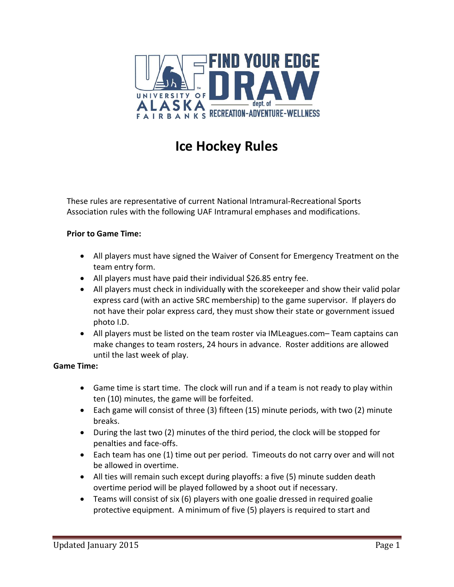

# **Ice Hockey Rules**

These rules are representative of current National Intramural-Recreational Sports Association rules with the following UAF Intramural emphases and modifications.

#### **Prior to Game Time:**

- All players must have signed the Waiver of Consent for Emergency Treatment on the team entry form.
- All players must have paid their individual \$26.85 entry fee.
- All players must check in individually with the scorekeeper and show their valid polar express card (with an active SRC membership) to the game supervisor. If players do not have their polar express card, they must show their state or government issued photo I.D.
- All players must be listed on the team roster via IMLeagues.com– Team captains can make changes to team rosters, 24 hours in advance. Roster additions are allowed until the last week of play.

#### **Game Time:**

- Game time is start time. The clock will run and if a team is not ready to play within ten (10) minutes, the game will be forfeited.
- Each game will consist of three (3) fifteen (15) minute periods, with two (2) minute breaks.
- During the last two (2) minutes of the third period, the clock will be stopped for penalties and face-offs.
- Each team has one (1) time out per period. Timeouts do not carry over and will not be allowed in overtime.
- All ties will remain such except during playoffs: a five (5) minute sudden death overtime period will be played followed by a shoot out if necessary.
- Teams will consist of six (6) players with one goalie dressed in required goalie protective equipment. A minimum of five (5) players is required to start and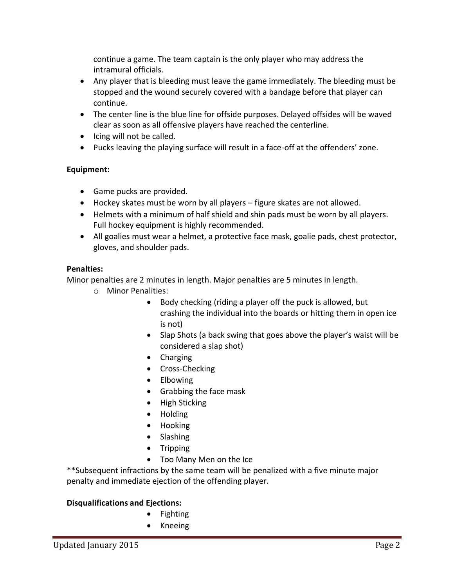continue a game. The team captain is the only player who may address the intramural officials.

- Any player that is bleeding must leave the game immediately. The bleeding must be stopped and the wound securely covered with a bandage before that player can continue.
- The center line is the blue line for offside purposes. Delayed offsides will be waved clear as soon as all offensive players have reached the centerline.
- Icing will not be called.
- Pucks leaving the playing surface will result in a face-off at the offenders' zone.

## **Equipment:**

- Game pucks are provided.
- Hockey skates must be worn by all players figure skates are not allowed.
- Helmets with a minimum of half shield and shin pads must be worn by all players. Full hockey equipment is highly recommended.
- All goalies must wear a helmet, a protective face mask, goalie pads, chest protector, gloves, and shoulder pads.

### **Penalties:**

Minor penalties are 2 minutes in length. Major penalties are 5 minutes in length.

- o Minor Penalities:
	- Body checking (riding a player off the puck is allowed, but crashing the individual into the boards or hitting them in open ice is not)
	- Slap Shots (a back swing that goes above the player's waist will be considered a slap shot)
	- Charging
	- Cross-Checking
	- Elbowing
	- Grabbing the face mask
	- High Sticking
	- Holding
	- Hooking
	- Slashing
	- Tripping
	- Too Many Men on the Ice

\*\*Subsequent infractions by the same team will be penalized with a five minute major penalty and immediate ejection of the offending player.

### **Disqualifications and Ejections:**

- Fighting
- Kneeing